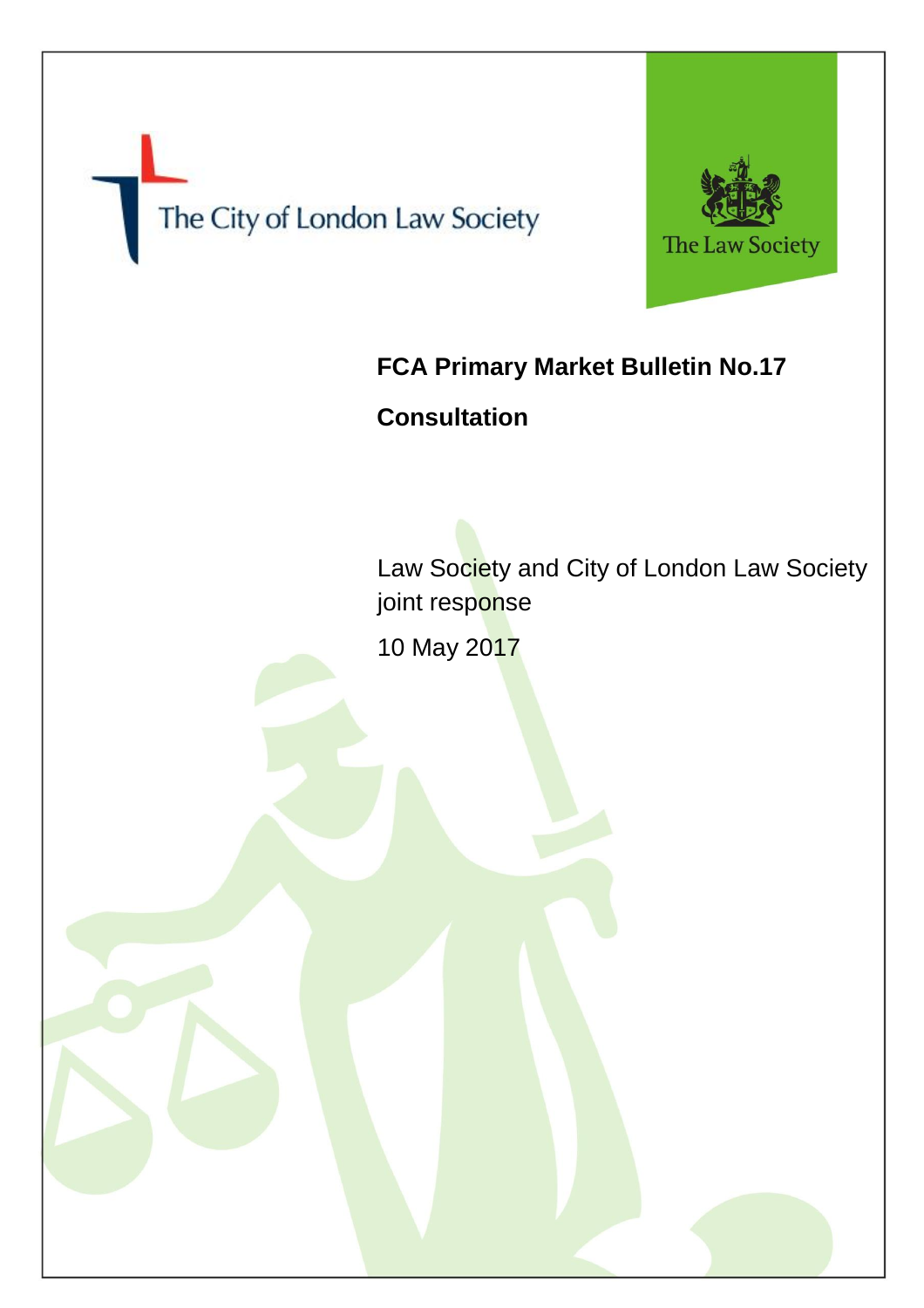